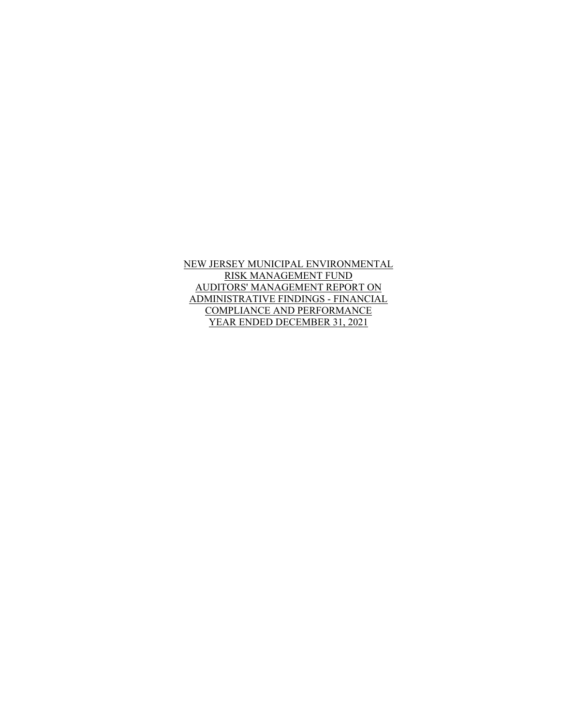NEW JERSEY MUNICIPAL ENVIRONMENTAL RISK MANAGEMENT FUND AUDITORS' MANAGEMENT REPORT ON ADMINISTRATIVE FINDINGS - FINANCIAL COMPLIANCE AND PERFORMANCE YEAR ENDED DECEMBER 31, 2021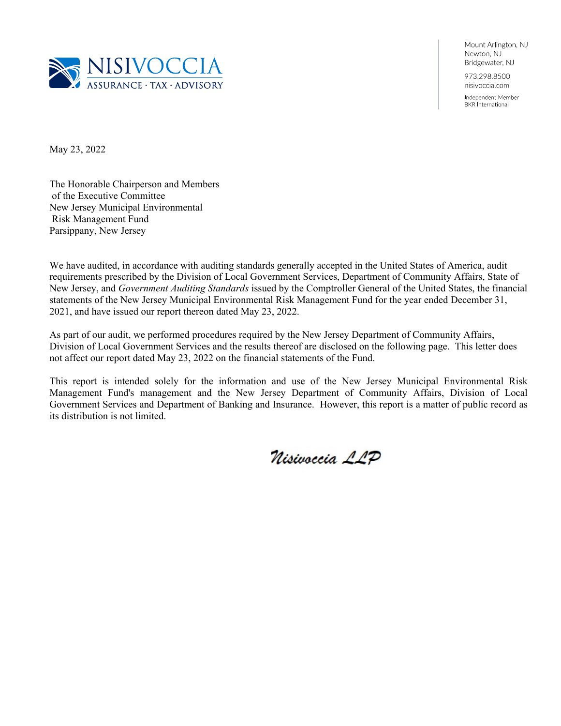

Mount Arlington, NJ Newton, NJ Bridgewater, NJ 973.298.8500 nisivoccia.com

Independent Member **BKR** International

May 23, 2022

The Honorable Chairperson and Members of the Executive Committee New Jersey Municipal Environmental Risk Management Fund Parsippany, New Jersey

We have audited, in accordance with auditing standards generally accepted in the United States of America, audit requirements prescribed by the Division of Local Government Services, Department of Community Affairs, State of New Jersey, and *Government Auditing Standards* issued by the Comptroller General of the United States, the financial statements of the New Jersey Municipal Environmental Risk Management Fund for the year ended December 31, 2021, and have issued our report thereon dated May 23, 2022.

As part of our audit, we performed procedures required by the New Jersey Department of Community Affairs, Division of Local Government Services and the results thereof are disclosed on the following page. This letter does not affect our report dated May 23, 2022 on the financial statements of the Fund.

This report is intended solely for the information and use of the New Jersey Municipal Environmental Risk Management Fund's management and the New Jersey Department of Community Affairs, Division of Local Government Services and Department of Banking and Insurance. However, this report is a matter of public record as its distribution is not limited.

Nisivoccia LLP